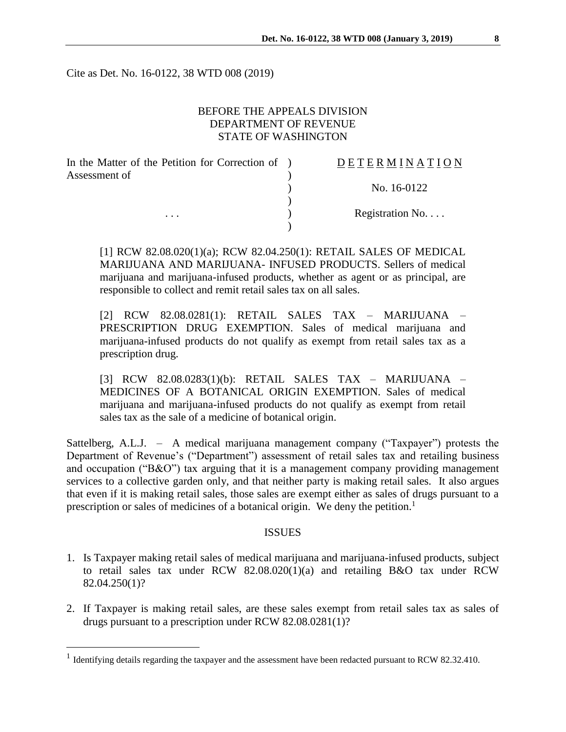Cite as Det. No. 16-0122, 38 WTD 008 (2019)

## BEFORE THE APPEALS DIVISION DEPARTMENT OF REVENUE STATE OF WASHINGTON

| In the Matter of the Petition for Correction of ) | DETERMINATION   |
|---------------------------------------------------|-----------------|
| Assessment of<br>$\cdots$                         |                 |
|                                                   | No. 16-0122     |
|                                                   |                 |
|                                                   | Registration No |
|                                                   |                 |

[1] RCW 82.08.020(1)(a); RCW 82.04.250(1): RETAIL SALES OF MEDICAL MARIJUANA AND MARIJUANA- INFUSED PRODUCTS. Sellers of medical marijuana and marijuana-infused products, whether as agent or as principal, are responsible to collect and remit retail sales tax on all sales.

[2] RCW 82.08.0281(1): RETAIL SALES TAX – MARIJUANA – PRESCRIPTION DRUG EXEMPTION. Sales of medical marijuana and marijuana-infused products do not qualify as exempt from retail sales tax as a prescription drug.

[3] RCW 82.08.0283(1)(b): RETAIL SALES TAX – MARIJUANA – MEDICINES OF A BOTANICAL ORIGIN EXEMPTION. Sales of medical marijuana and marijuana-infused products do not qualify as exempt from retail sales tax as the sale of a medicine of botanical origin.

Sattelberg, A.L.J. – A medical marijuana management company ("Taxpayer") protests the Department of Revenue's ("Department") assessment of retail sales tax and retailing business and occupation ("B&O") tax arguing that it is a management company providing management services to a collective garden only, and that neither party is making retail sales. It also argues that even if it is making retail sales, those sales are exempt either as sales of drugs pursuant to a prescription or sales of medicines of a botanical origin. We deny the petition.<sup>1</sup>

#### ISSUES

- 1. Is Taxpayer making retail sales of medical marijuana and marijuana-infused products, subject to retail sales tax under RCW 82.08.020(1)(a) and retailing B&O tax under RCW 82.04.250(1)?
- 2. If Taxpayer is making retail sales, are these sales exempt from retail sales tax as sales of drugs pursuant to a prescription under RCW 82.08.0281(1)?

<sup>&</sup>lt;sup>1</sup> Identifying details regarding the taxpayer and the assessment have been redacted pursuant to RCW 82.32.410.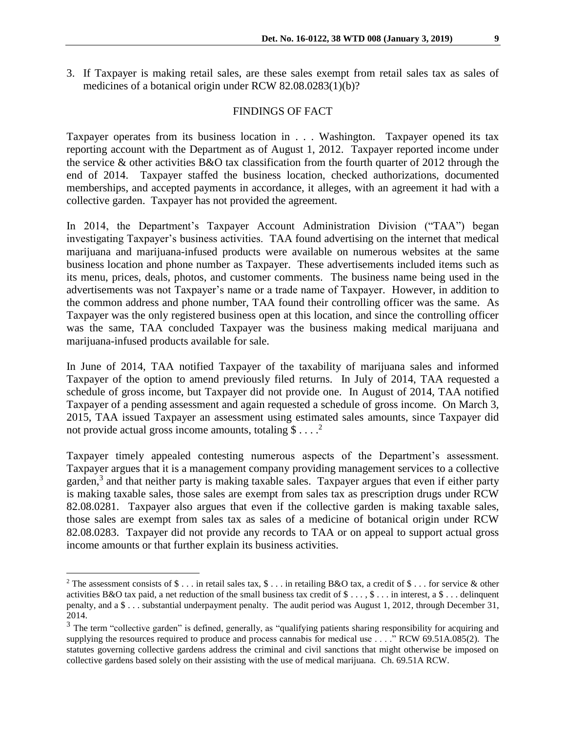3. If Taxpayer is making retail sales, are these sales exempt from retail sales tax as sales of medicines of a botanical origin under RCW 82.08.0283(1)(b)?

#### FINDINGS OF FACT

Taxpayer operates from its business location in . . . Washington. Taxpayer opened its tax reporting account with the Department as of August 1, 2012. Taxpayer reported income under the service & other activities B&O tax classification from the fourth quarter of 2012 through the end of 2014. Taxpayer staffed the business location, checked authorizations, documented memberships, and accepted payments in accordance, it alleges, with an agreement it had with a collective garden. Taxpayer has not provided the agreement.

In 2014, the Department's Taxpayer Account Administration Division ("TAA") began investigating Taxpayer's business activities. TAA found advertising on the internet that medical marijuana and marijuana-infused products were available on numerous websites at the same business location and phone number as Taxpayer. These advertisements included items such as its menu, prices, deals, photos, and customer comments. The business name being used in the advertisements was not Taxpayer's name or a trade name of Taxpayer. However, in addition to the common address and phone number, TAA found their controlling officer was the same. As Taxpayer was the only registered business open at this location, and since the controlling officer was the same, TAA concluded Taxpayer was the business making medical marijuana and marijuana-infused products available for sale.

In June of 2014, TAA notified Taxpayer of the taxability of marijuana sales and informed Taxpayer of the option to amend previously filed returns. In July of 2014, TAA requested a schedule of gross income, but Taxpayer did not provide one. In August of 2014, TAA notified Taxpayer of a pending assessment and again requested a schedule of gross income. On March 3, 2015, TAA issued Taxpayer an assessment using estimated sales amounts, since Taxpayer did not provide actual gross income amounts, totaling  $$...$ <sup>2</sup>

Taxpayer timely appealed contesting numerous aspects of the Department's assessment. Taxpayer argues that it is a management company providing management services to a collective garden,<sup>3</sup> and that neither party is making taxable sales. Taxpayer argues that even if either party is making taxable sales, those sales are exempt from sales tax as prescription drugs under RCW 82.08.0281. Taxpayer also argues that even if the collective garden is making taxable sales, those sales are exempt from sales tax as sales of a medicine of botanical origin under RCW 82.08.0283. Taxpayer did not provide any records to TAA or on appeal to support actual gross income amounts or that further explain its business activities.

<sup>&</sup>lt;sup>2</sup> The assessment consists of \$ . . . in retail sales tax,  $\frac{1}{2}$  . . in retailing B&O tax, a credit of \$ . . . for service & other activities B&O tax paid, a net reduction of the small business tax credit of \$ . . . , \$ . . . in interest, a \$ . . . delinquent penalty, and a \$ . . . substantial underpayment penalty. The audit period was August 1, 2012, through December 31, 2014.

<sup>&</sup>lt;sup>3</sup> The term "collective garden" is defined, generally, as "qualifying patients sharing responsibility for acquiring and supplying the resources required to produce and process cannabis for medical use . . . ." RCW 69.51A.085(2). The statutes governing collective gardens address the criminal and civil sanctions that might otherwise be imposed on collective gardens based solely on their assisting with the use of medical marijuana. Ch. 69.51A RCW.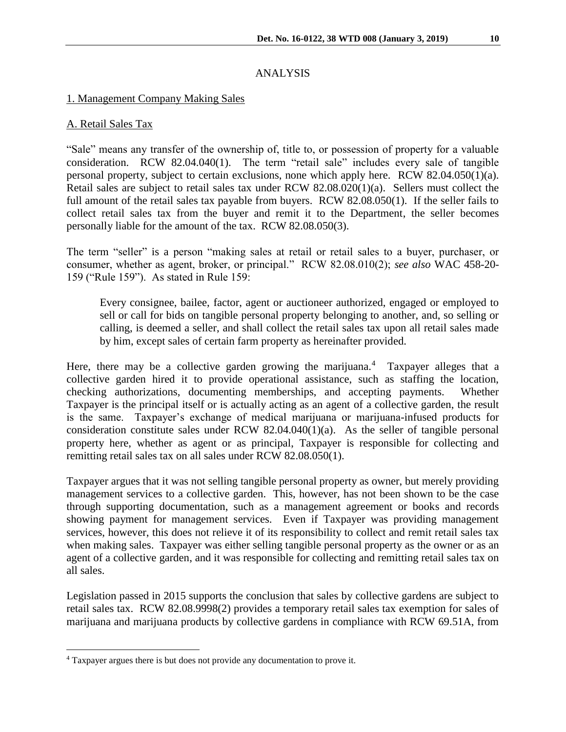# ANALYSIS

## 1. Management Company Making Sales

## A. Retail Sales Tax

"Sale" means any transfer of the ownership of, title to, or possession of property for a valuable consideration. RCW 82.04.040(1). The term "retail sale" includes every sale of tangible personal property, subject to certain exclusions, none which apply here. RCW 82.04.050(1)(a). Retail sales are subject to retail sales tax under RCW 82.08.020(1)(a). Sellers must collect the full amount of the retail sales tax payable from buyers. RCW 82.08.050(1). If the seller fails to collect retail sales tax from the buyer and remit it to the Department, the seller becomes personally liable for the amount of the tax. RCW 82.08.050(3).

The term "seller" is a person "making sales at retail or retail sales to a buyer, purchaser, or consumer, whether as agent, broker, or principal." RCW 82.08.010(2); *see also* WAC 458-20- 159 ("Rule 159"). As stated in Rule 159:

Every consignee, bailee, factor, agent or auctioneer authorized, engaged or employed to sell or call for bids on tangible personal property belonging to another, and, so selling or calling, is deemed a seller, and shall collect the retail sales tax upon all retail sales made by him, except sales of certain farm property as hereinafter provided.

Here, there may be a collective garden growing the marijuana.<sup>4</sup> Taxpayer alleges that a collective garden hired it to provide operational assistance, such as staffing the location, checking authorizations, documenting memberships, and accepting payments. Whether Taxpayer is the principal itself or is actually acting as an agent of a collective garden, the result is the same. Taxpayer's exchange of medical marijuana or marijuana-infused products for consideration constitute sales under RCW  $82.04.040(1)(a)$ . As the seller of tangible personal property here, whether as agent or as principal, Taxpayer is responsible for collecting and remitting retail sales tax on all sales under RCW 82.08.050(1).

Taxpayer argues that it was not selling tangible personal property as owner, but merely providing management services to a collective garden. This, however, has not been shown to be the case through supporting documentation, such as a management agreement or books and records showing payment for management services. Even if Taxpayer was providing management services, however, this does not relieve it of its responsibility to collect and remit retail sales tax when making sales. Taxpayer was either selling tangible personal property as the owner or as an agent of a collective garden, and it was responsible for collecting and remitting retail sales tax on all sales.

Legislation passed in 2015 supports the conclusion that sales by collective gardens are subject to retail sales tax. RCW 82.08.9998(2) provides a temporary retail sales tax exemption for sales of marijuana and marijuana products by collective gardens in compliance with RCW 69.51A, from

<sup>4</sup> Taxpayer argues there is but does not provide any documentation to prove it.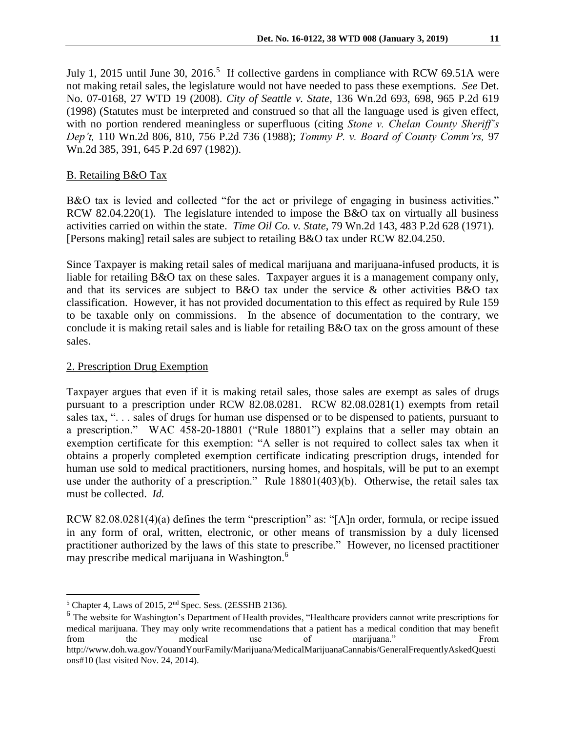July 1, 2015 until June 30, 2016.<sup>5</sup> If collective gardens in compliance with RCW 69.51A were not making retail sales, the legislature would not have needed to pass these exemptions. *See* Det. No. 07-0168, 27 WTD 19 (2008). *City of Seattle v. State*, 136 Wn.2d 693, 698, 965 P.2d 619 (1998) (Statutes must be interpreted and construed so that all the language used is given effect, with no portion rendered meaningless or superfluous (citing *Stone v. Chelan County Sheriff's Dep't,* 110 Wn.2d 806, 810, 756 P.2d 736 (1988); *Tommy P. v. Board of County Comm'rs,* 97 Wn.2d 385, 391, 645 P.2d 697 (1982)).

# B. Retailing B&O Tax

B&O tax is levied and collected "for the act or privilege of engaging in business activities." RCW 82.04.220(1). The legislature intended to impose the B&O tax on virtually all business activities carried on within the state. *Time Oil Co. v. State*, 79 Wn.2d 143, 483 P.2d 628 (1971). [Persons making] retail sales are subject to retailing B&O tax under RCW 82.04.250.

Since Taxpayer is making retail sales of medical marijuana and marijuana-infused products, it is liable for retailing B&O tax on these sales. Taxpayer argues it is a management company only, and that its services are subject to B&O tax under the service & other activities B&O tax classification. However, it has not provided documentation to this effect as required by Rule 159 to be taxable only on commissions. In the absence of documentation to the contrary, we conclude it is making retail sales and is liable for retailing B&O tax on the gross amount of these sales.

## 2. Prescription Drug Exemption

Taxpayer argues that even if it is making retail sales, those sales are exempt as sales of drugs pursuant to a prescription under RCW 82.08.0281. RCW 82.08.0281(1) exempts from retail sales tax, "... sales of drugs for human use dispensed or to be dispensed to patients, pursuant to a prescription." WAC 458-20-18801 ("Rule 18801") explains that a seller may obtain an exemption certificate for this exemption: "A seller is not required to collect sales tax when it obtains a properly completed exemption certificate indicating prescription drugs, intended for human use sold to medical practitioners, nursing homes, and hospitals, will be put to an exempt use under the authority of a prescription." Rule 18801(403)(b). Otherwise, the retail sales tax must be collected. *Id.*

RCW 82.08.0281(4)(a) defines the term "prescription" as: "[A]n order, formula, or recipe issued in any form of oral, written, electronic, or other means of transmission by a duly licensed practitioner authorized by the laws of this state to prescribe." However, no licensed practitioner may prescribe medical marijuana in Washington.<sup>6</sup>

 $\overline{a}$  $<sup>5</sup>$  Chapter 4, Laws of 2015, 2<sup>nd</sup> Spec. Sess. (2ESSHB 2136).</sup>

<sup>&</sup>lt;sup>6</sup> The website for Washington's Department of Health provides, "Healthcare providers cannot write prescriptions for medical marijuana. They may only write recommendations that a patient has a medical condition that may benefit from the medical use of marijuana." From http://www.doh.wa.gov/YouandYourFamily/Marijuana/MedicalMarijuanaCannabis/GeneralFrequentlyAskedQuesti ons#10 (last visited Nov. 24, 2014).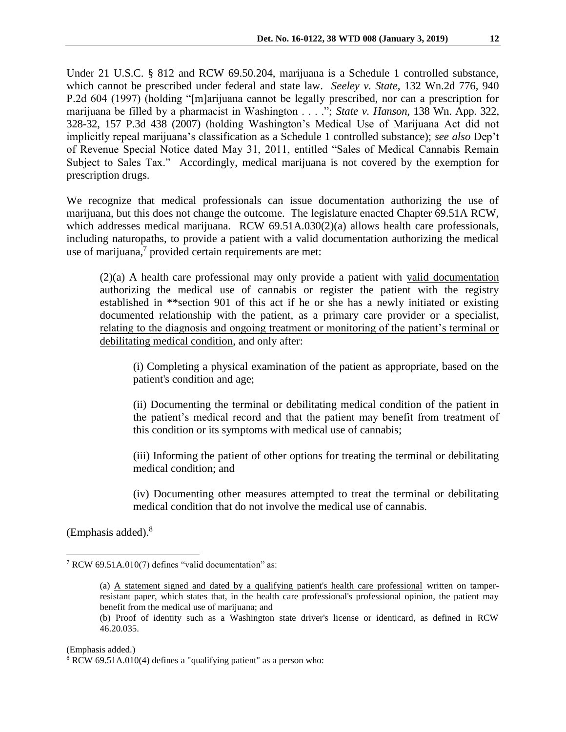Under 21 U.S.C. § 812 and RCW 69.50.204, marijuana is a Schedule 1 controlled substance, which cannot be prescribed under federal and state law. *Seeley v. State*, 132 Wn.2d 776, 940 P.2d 604 (1997) (holding "[m]arijuana cannot be legally prescribed, nor can a prescription for marijuana be filled by a pharmacist in Washington . . . ."; *State v. Hanson*, 138 Wn. App. 322, 328-32, 157 P.3d 438 (2007) (holding Washington's Medical Use of Marijuana Act did not implicitly repeal marijuana's classification as a Schedule 1 controlled substance); *see also* Dep't of Revenue Special Notice dated May 31, 2011, entitled "Sales of Medical Cannabis Remain Subject to Sales Tax." Accordingly, medical marijuana is not covered by the exemption for prescription drugs.

We recognize that medical professionals can issue documentation authorizing the use of marijuana, but this does not change the outcome. The legislature enacted Chapter 69.51A RCW, which addresses medical marijuana. RCW 69.51A.030(2)(a) allows health care professionals, including naturopaths, to provide a patient with a valid documentation authorizing the medical use of marijuana,<sup>7</sup> provided certain requirements are met:

(2)(a) A health care professional may only provide a patient with valid documentation authorizing the medical use of cannabis or register the patient with the registry established in \*\*section 901 of this act if he or she has a newly initiated or existing documented relationship with the patient, as a primary care provider or a specialist, relating to the diagnosis and ongoing treatment or monitoring of the patient's terminal or debilitating medical condition, and only after:

(i) Completing a physical examination of the patient as appropriate, based on the patient's condition and age;

(ii) Documenting the terminal or debilitating medical condition of the patient in the patient's medical record and that the patient may benefit from treatment of this condition or its symptoms with medical use of cannabis;

(iii) Informing the patient of other options for treating the terminal or debilitating medical condition; and

(iv) Documenting other measures attempted to treat the terminal or debilitating medical condition that do not involve the medical use of cannabis.

(Emphasis added).<sup>8</sup>

 $\overline{a}$ 

(Emphasis added.)

<sup>7</sup> RCW 69.51A.010(7) defines "valid documentation" as:

<sup>(</sup>a) A statement signed and dated by a qualifying patient's health care professional written on tamperresistant paper, which states that, in the health care professional's professional opinion, the patient may benefit from the medical use of marijuana; and

<sup>(</sup>b) Proof of identity such as a Washington state driver's license or identicard, as defined in RCW 46.20.035.

<sup>8</sup> RCW 69.51A.010(4) defines a "qualifying patient" as a person who: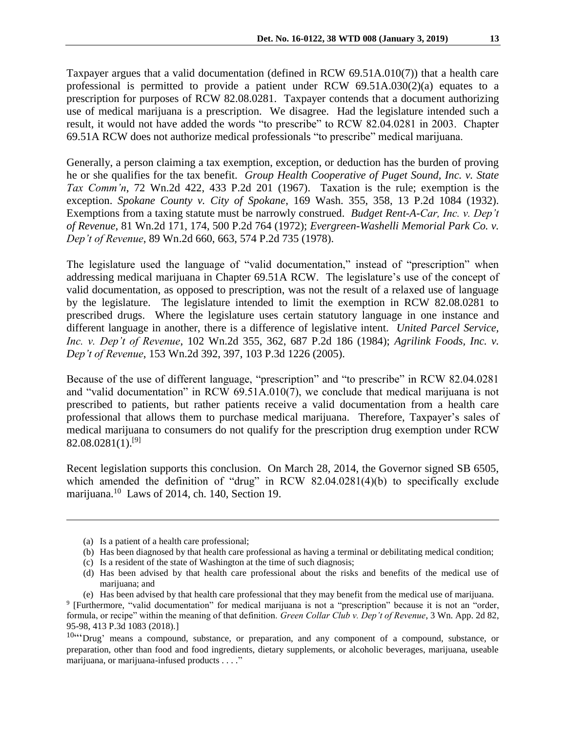Taxpayer argues that a valid documentation (defined in RCW 69.51A.010(7)) that a health care professional is permitted to provide a patient under RCW 69.51A.030(2)(a) equates to a prescription for purposes of RCW 82.08.0281. Taxpayer contends that a document authorizing use of medical marijuana is a prescription. We disagree. Had the legislature intended such a result, it would not have added the words "to prescribe" to RCW 82.04.0281 in 2003. Chapter 69.51A RCW does not authorize medical professionals "to prescribe" medical marijuana.

Generally, a person claiming a tax exemption, exception, or deduction has the burden of proving he or she qualifies for the tax benefit. *Group Health Cooperative of Puget Sound, Inc. v. State Tax Comm'n*, 72 Wn.2d 422, 433 P.2d 201 (1967). Taxation is the rule; exemption is the exception. *Spokane County v. City of Spokane*, 169 Wash. 355, 358, 13 P.2d 1084 (1932). Exemptions from a taxing statute must be narrowly construed. *Budget Rent-A-Car, Inc. v. Dep't of Revenue*, 81 Wn.2d 171, 174, 500 P.2d 764 (1972); *Evergreen-Washelli Memorial Park Co. v. Dep't of Revenue*, 89 Wn.2d 660, 663, 574 P.2d 735 (1978).

The legislature used the language of "valid documentation," instead of "prescription" when addressing medical marijuana in Chapter 69.51A RCW. The legislature's use of the concept of valid documentation, as opposed to prescription, was not the result of a relaxed use of language by the legislature. The legislature intended to limit the exemption in RCW 82.08.0281 to prescribed drugs. Where the legislature uses certain statutory language in one instance and different language in another, there is a difference of legislative intent. *United Parcel Service, Inc. v. Dep't of Revenue*, 102 Wn.2d 355, 362, 687 P.2d 186 (1984); *Agrilink Foods, Inc. v. Dep't of Revenue*, 153 Wn.2d 392, 397, 103 P.3d 1226 (2005).

Because of the use of different language, "prescription" and "to prescribe" in RCW 82.04.0281 and "valid documentation" in RCW 69.51A.010(7), we conclude that medical marijuana is not prescribed to patients, but rather patients receive a valid documentation from a health care professional that allows them to purchase medical marijuana. Therefore, Taxpayer's sales of medical marijuana to consumers do not qualify for the prescription drug exemption under RCW  $82.08.0281(1).^{[9]}$ 

Recent legislation supports this conclusion. On March 28, 2014, the Governor signed SB 6505, which amended the definition of "drug" in RCW 82.04.0281(4)(b) to specifically exclude marijuana.<sup>10</sup> Laws of 2014, ch. 140, Section 19.

- (c) Is a resident of the state of Washington at the time of such diagnosis;
- (d) Has been advised by that health care professional about the risks and benefits of the medical use of marijuana; and
- (e) Has been advised by that health care professional that they may benefit from the medical use of marijuana. 9 [Furthermore, "valid documentation" for medical marijuana is not a "prescription" because it is not an "order, formula, or recipe" within the meaning of that definition. *Green Collar Club v. Dep't of Revenue*, 3 Wn. App. 2d 82, 95-98, 413 P.3d 1083 (2018).]

<sup>(</sup>a) Is a patient of a health care professional;

<sup>(</sup>b) Has been diagnosed by that health care professional as having a terminal or debilitating medical condition;

<sup>10&</sup>lt;sup>ccc</sup>Drug' means a compound, substance, or preparation, and any component of a compound, substance, or preparation, other than food and food ingredients, dietary supplements, or alcoholic beverages, marijuana, useable marijuana, or marijuana-infused products . . . ."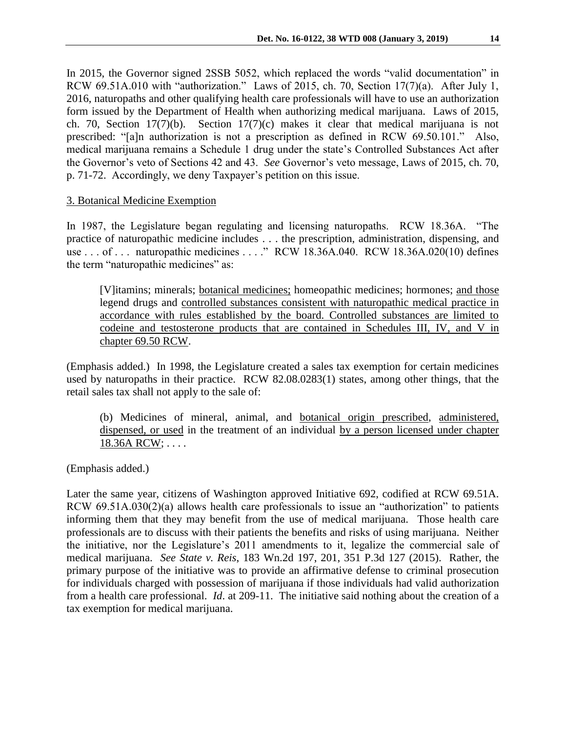In 2015, the Governor signed 2SSB 5052, which replaced the words "valid documentation" in RCW 69.51A.010 with "authorization." Laws of 2015, ch. 70, Section 17(7)(a). After July 1, 2016, naturopaths and other qualifying health care professionals will have to use an authorization form issued by the Department of Health when authorizing medical marijuana. Laws of 2015, ch. 70, Section 17(7)(b). Section 17(7)(c) makes it clear that medical marijuana is not prescribed: "[a]n authorization is not a prescription as defined in RCW 69.50.101." Also, medical marijuana remains a Schedule 1 drug under the state's Controlled Substances Act after the Governor's veto of Sections 42 and 43. *See* Governor's veto message, Laws of 2015, ch. 70, p. 71-72. Accordingly, we deny Taxpayer's petition on this issue.

### 3. Botanical Medicine Exemption

In 1987, the Legislature began regulating and licensing naturopaths. RCW 18.36A. "The practice of naturopathic medicine includes . . . the prescription, administration, dispensing, and use . . . of . . . naturopathic medicines . . . ." RCW 18.36A.040. RCW 18.36A.020(10) defines the term "naturopathic medicines" as:

[V]itamins; minerals; botanical medicines; homeopathic medicines; hormones; and those legend drugs and controlled substances consistent with naturopathic medical practice in accordance with rules established by the board. Controlled substances are limited to codeine and testosterone products that are contained in Schedules III, IV, and V in chapter 69.50 RCW.

(Emphasis added.) In 1998, the Legislature created a sales tax exemption for certain medicines used by naturopaths in their practice. RCW 82.08.0283(1) states, among other things, that the retail sales tax shall not apply to the sale of:

(b) Medicines of mineral, animal, and botanical origin prescribed, administered, dispensed, or used in the treatment of an individual by a person licensed under chapter 18.36A RCW; . . . .

(Emphasis added.)

Later the same year, citizens of Washington approved Initiative 692, codified at RCW 69.51A. RCW 69.51A.030(2)(a) allows health care professionals to issue an "authorization" to patients informing them that they may benefit from the use of medical marijuana. Those health care professionals are to discuss with their patients the benefits and risks of using marijuana. Neither the initiative, nor the Legislature's 2011 amendments to it, legalize the commercial sale of medical marijuana. *See State v. Reis*, 183 Wn.2d 197, 201, 351 P.3d 127 (2015). Rather, the primary purpose of the initiative was to provide an affirmative defense to criminal prosecution for individuals charged with possession of marijuana if those individuals had valid authorization from a health care professional. *Id*. at 209-11. The initiative said nothing about the creation of a tax exemption for medical marijuana.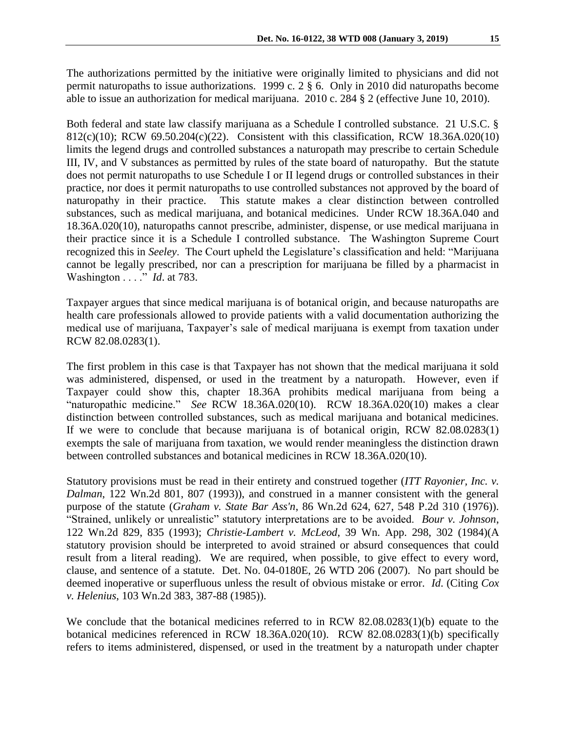The authorizations permitted by the initiative were originally limited to physicians and did not permit naturopaths to issue authorizations. 1999 c. 2 § 6. Only in 2010 did naturopaths become able to issue an authorization for medical marijuana. 2010 c. 284 § 2 (effective June 10, 2010).

Both federal and state law classify marijuana as a Schedule I controlled substance. 21 U.S.C. § 812(c)(10); RCW 69.50.204(c)(22). Consistent with this classification, RCW 18.36A.020(10) limits the legend drugs and controlled substances a naturopath may prescribe to certain Schedule III, IV, and V substances as permitted by rules of the state board of naturopathy. But the statute does not permit naturopaths to use Schedule I or II legend drugs or controlled substances in their practice, nor does it permit naturopaths to use controlled substances not approved by the board of naturopathy in their practice. This statute makes a clear distinction between controlled substances, such as medical marijuana, and botanical medicines. Under RCW 18.36A.040 and 18.36A.020(10), naturopaths cannot prescribe, administer, dispense, or use medical marijuana in their practice since it is a Schedule I controlled substance. The Washington Supreme Court recognized this in *Seeley*. The Court upheld the Legislature's classification and held: "Marijuana cannot be legally prescribed, nor can a prescription for marijuana be filled by a pharmacist in Washington . . . ." *Id*. at 783.

Taxpayer argues that since medical marijuana is of botanical origin, and because naturopaths are health care professionals allowed to provide patients with a valid documentation authorizing the medical use of marijuana, Taxpayer's sale of medical marijuana is exempt from taxation under RCW 82.08.0283(1).

The first problem in this case is that Taxpayer has not shown that the medical marijuana it sold was administered, dispensed, or used in the treatment by a naturopath. However, even if Taxpayer could show this, chapter 18.36A prohibits medical marijuana from being a "naturopathic medicine." *See* RCW 18.36A.020(10). RCW 18.36A.020(10) makes a clear distinction between controlled substances, such as medical marijuana and botanical medicines. If we were to conclude that because marijuana is of botanical origin, RCW 82.08.0283(1) exempts the sale of marijuana from taxation, we would render meaningless the distinction drawn between controlled substances and botanical medicines in RCW 18.36A.020(10).

Statutory provisions must be read in their entirety and construed together (*ITT Rayonier, Inc. v. Dalman*, 122 Wn.2d 801, 807 (1993)), and construed in a manner consistent with the general purpose of the statute (*Graham v. State Bar Ass'n*, 86 Wn.2d 624, 627, 548 P.2d 310 (1976)). "Strained, unlikely or unrealistic" statutory interpretations are to be avoided. *Bour v. Johnson*, 122 Wn.2d 829, 835 (1993); *Christie-Lambert v. McLeod*, 39 Wn. App. 298, 302 (1984)(A statutory provision should be interpreted to avoid strained or absurd consequences that could result from a literal reading). We are required, when possible, to give effect to every word, clause, and sentence of a statute. Det. No. 04-0180E, 26 WTD 206 (2007). No part should be deemed inoperative or superfluous unless the result of obvious mistake or error. *Id*. (Citing *Cox v. Helenius*, 103 Wn.2d 383, 387-88 (1985)).

We conclude that the botanical medicines referred to in RCW 82.08.0283(1)(b) equate to the botanical medicines referenced in RCW 18.36A.020(10). RCW 82.08.0283(1)(b) specifically refers to items administered, dispensed, or used in the treatment by a naturopath under chapter